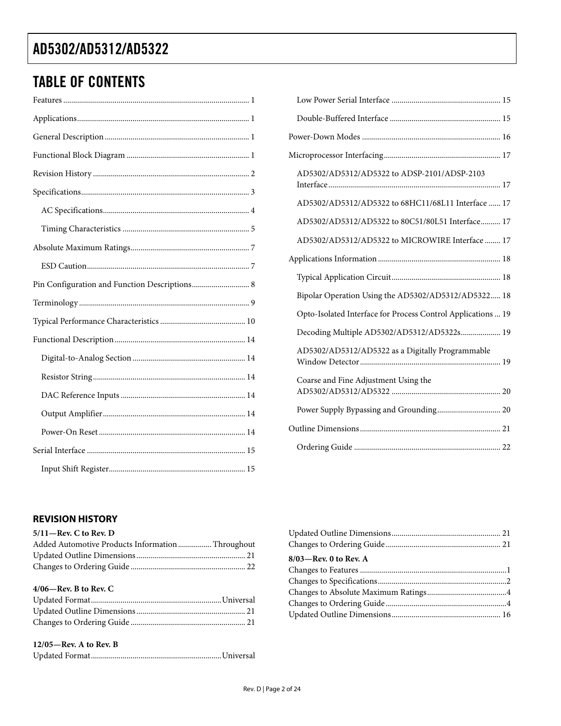### <span id="page-1-0"></span>TABLE OF CONTENTS

| AD5302/AD5312/AD5322 to ADSP-2101/ADSP-2103                  |
|--------------------------------------------------------------|
| AD5302/AD5312/AD5322 to 68HC11/68L11 Interface  17           |
| AD5302/AD5312/AD5322 to 80C51/80L51 Interface 17             |
| AD5302/AD5312/AD5322 to MICROWIRE Interface  17              |
|                                                              |
|                                                              |
| Bipolar Operation Using the AD5302/AD5312/AD5322 18          |
| Opto-Isolated Interface for Process Control Applications  19 |
| Decoding Multiple AD5302/AD5312/AD5322s 19                   |
| AD5302/AD5312/AD5322 as a Digitally Programmable             |
| Coarse and Fine Adjustment Using the                         |
| Power Supply Bypassing and Grounding 20                      |
|                                                              |
|                                                              |

### **REVISION HISTORY**

#### **5/11—Rev. C to Rev. D**

| Added Automotive Products InformationThroughout |  |
|-------------------------------------------------|--|
|                                                 |  |
|                                                 |  |
|                                                 |  |

| $4/06$ —Rev. B to Rev. C |  |
|--------------------------|--|
|                          |  |
|                          |  |
|                          |  |

#### **12/05—Rev. A to Rev. B**

|--|--|

| 8/03-Rev. 0 to Rev. A |  |
|-----------------------|--|
|                       |  |
|                       |  |
|                       |  |
|                       |  |
|                       |  |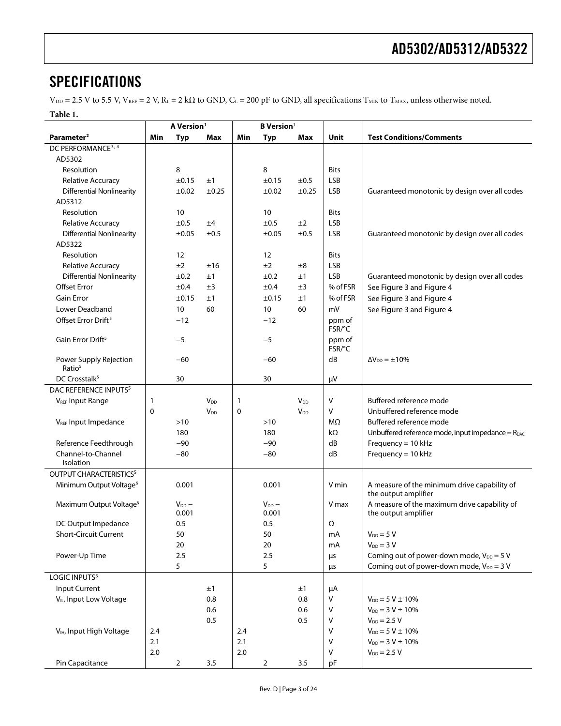### <span id="page-2-0"></span>**SPECIFICATIONS**

 $V_{\text{DD}} = 2.5$  V to 5.5 V,  $V_{\text{REF}} = 2$  V,  $R_L = 2$  kΩ to GND,  $C_L = 200$  pF to GND, all specifications T<sub>MIN</sub> to T<sub>MAX</sub>, unless otherwise noted.

**Table 1.** 

<span id="page-2-3"></span><span id="page-2-2"></span><span id="page-2-1"></span>

|                                              |         | A Version <sup>1</sup> |                        | <b>B</b> Version <sup>1</sup> |                     |                       |                  |                                                                      |
|----------------------------------------------|---------|------------------------|------------------------|-------------------------------|---------------------|-----------------------|------------------|----------------------------------------------------------------------|
| Parameter <sup>2</sup>                       | Min     | <b>Typ</b>             | Max                    | Min                           | <b>Typ</b>          | Max                   | Unit             | <b>Test Conditions/Comments</b>                                      |
| DC PERFORMANCE <sup>3, 4</sup>               |         |                        |                        |                               |                     |                       |                  |                                                                      |
| AD5302                                       |         |                        |                        |                               |                     |                       |                  |                                                                      |
| Resolution                                   |         | 8                      |                        |                               | 8                   |                       | <b>Bits</b>      |                                                                      |
| Relative Accuracy                            |         | ±0.15                  | ±1                     |                               | ±0.15               | ±0.5                  | LSB              |                                                                      |
| <b>Differential Nonlinearity</b>             |         | ±0.02                  | $\pm 0.25$             |                               | ±0.02               | $\pm 0.25$            | <b>LSB</b>       | Guaranteed monotonic by design over all codes                        |
| AD5312                                       |         |                        |                        |                               |                     |                       |                  |                                                                      |
| Resolution                                   |         | 10                     |                        |                               | 10                  |                       | <b>Bits</b>      |                                                                      |
| Relative Accuracy                            |         | $\pm 0.5$              | ±4                     |                               | ±0.5                | ±2                    | LSB              |                                                                      |
| <b>Differential Nonlinearity</b>             |         | ±0.05                  | $\pm 0.5$              |                               | ±0.05               | ±0.5                  | LSB              | Guaranteed monotonic by design over all codes                        |
| AD5322                                       |         |                        |                        |                               |                     |                       |                  |                                                                      |
| Resolution                                   |         | 12                     |                        |                               | 12                  |                       | <b>Bits</b>      |                                                                      |
| Relative Accuracy                            |         | ±2                     | ±16                    |                               | ±2                  | ±8                    | <b>LSB</b>       |                                                                      |
| <b>Differential Nonlinearity</b>             |         | ±0.2                   | ±1                     |                               | ±0.2                | ±1                    | <b>LSB</b>       | Guaranteed monotonic by design over all codes                        |
| <b>Offset Error</b>                          |         | ±0.4                   | ±3                     |                               | ±0.4                | ±3                    | % of FSR         | See Figure 3 and Figure 4                                            |
| <b>Gain Error</b>                            |         | ±0.15                  | ±1                     |                               | ±0.15               | ±1                    | % of FSR         | See Figure 3 and Figure 4                                            |
| <b>Lower Deadband</b>                        |         | 10                     | 60                     |                               | 10                  | 60                    | mV               | See Figure 3 and Figure 4                                            |
| Offset Error Drift <sup>5</sup>              |         | $-12$                  |                        |                               | $-12$               |                       | ppm of<br>FSR/°C |                                                                      |
| Gain Error Drift <sup>5</sup>                |         | $-5$                   |                        |                               | $-5$                |                       | ppm of<br>FSR/°C |                                                                      |
| Power Supply Rejection<br>Ratio <sup>5</sup> |         | $-60$                  |                        |                               | $-60$               |                       | dB               | $\Delta V_{DD} = \pm 10\%$                                           |
| DC Crosstalk <sup>5</sup>                    |         | 30                     |                        |                               | 30                  |                       | μV               |                                                                      |
| DAC REFERENCE INPUTS <sup>5</sup>            |         |                        |                        |                               |                     |                       |                  |                                                                      |
| <b>VREF Input Range</b>                      | 1       |                        | <b>V</b> <sub>DD</sub> | 1                             |                     | $V_{DD}$              | $\vee$           | Buffered reference mode                                              |
|                                              | 0       |                        | <b>V<sub>DD</sub></b>  | 0                             |                     | <b>V<sub>DD</sub></b> | $\vee$           | Unbuffered reference mode                                            |
| V <sub>REF</sub> Input Impedance             |         | $>10$                  |                        |                               | $>10$               |                       | MΩ               | Buffered reference mode                                              |
|                                              |         | 180                    |                        |                               | 180                 |                       | $k\Omega$        | Unbuffered reference mode, input impedance = $R_{DAC}$               |
| Reference Feedthrough                        |         | $-90$                  |                        |                               | $-90$               |                       | dB               | Frequency = 10 kHz                                                   |
| Channel-to-Channel<br>Isolation              |         | $-80$                  |                        |                               | $-80$               |                       | dB               | Frequency = 10 kHz                                                   |
| OUTPUT CHARACTERISTICS <sup>5</sup>          |         |                        |                        |                               |                     |                       |                  |                                                                      |
| Minimum Output Voltage <sup>6</sup>          |         | 0.001                  |                        |                               | 0.001               |                       | V min            | A measure of the minimum drive capability of<br>the output amplifier |
| Maximum Output Voltage <sup>6</sup>          |         | $V_{DD}$ –<br>0.001    |                        |                               | $V_{DD}$ –<br>0.001 |                       | V max            | A measure of the maximum drive capability of<br>the output amplifier |
| DC Output Impedance                          |         | 0.5                    |                        |                               | 0.5                 |                       | Ω                |                                                                      |
| <b>Short-Circuit Current</b>                 |         | 50                     |                        |                               | 50                  |                       | mA               | $V_{DD} = 5 V$                                                       |
|                                              |         | 20                     |                        |                               | 20                  |                       | mA               | $V_{DD} = 3 V$                                                       |
| Power-Up Time                                |         | 2.5                    |                        |                               | 2.5                 |                       | μs               | Coming out of power-down mode, $V_{DD} = 5 V$                        |
|                                              |         | 5                      |                        |                               | 5                   |                       | μs               | Coming out of power-down mode, $V_{DD} = 3 V$                        |
| LOGIC INPUTS <sup>5</sup>                    |         |                        |                        |                               |                     |                       |                  |                                                                      |
| Input Current                                |         |                        | ±1                     |                               |                     | ±1                    | μA               |                                                                      |
| V <sub>IL</sub> , Input Low Voltage          |         |                        | 0.8                    |                               |                     | 0.8                   | V                | $V_{DD} = 5 V \pm 10\%$                                              |
|                                              |         |                        | 0.6                    |                               |                     | 0.6                   | $\vee$           | $V_{DD} = 3 V \pm 10\%$                                              |
|                                              |         |                        | 0.5                    |                               |                     | 0.5                   | V                | $V_{DD} = 2.5 V$                                                     |
| V <sub>IH</sub> , Input High Voltage         | 2.4     |                        |                        | 2.4                           |                     |                       | $\vee$           | $V_{DD} = 5 V \pm 10\%$                                              |
|                                              | 2.1     |                        |                        | 2.1                           |                     |                       | V                | $V_{DD} = 3 V \pm 10\%$                                              |
|                                              | $2.0\,$ |                        |                        | 2.0                           |                     |                       | $\vee$           | $V_{DD} = 2.5 V$                                                     |
| Pin Capacitance                              |         | $\mathbf 2$            | 3.5                    |                               | $\overline{a}$      | 3.5                   | pF               |                                                                      |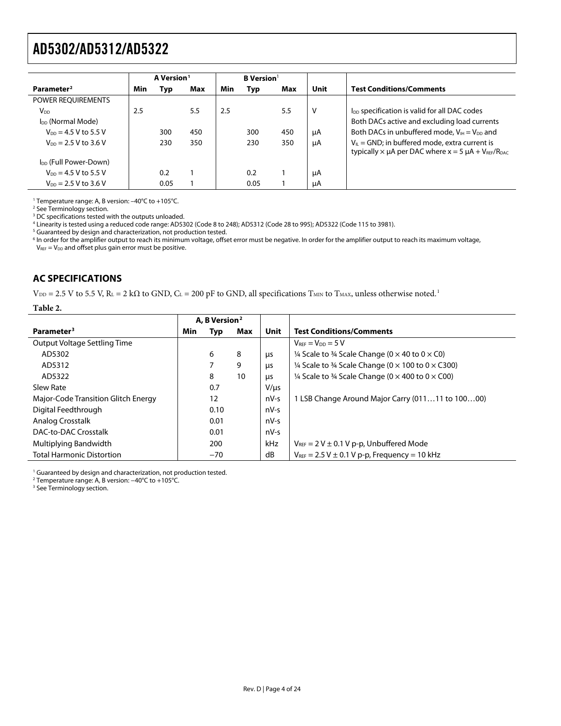<span id="page-3-1"></span><span id="page-3-0"></span>

|                                   |     | A Version <sup>1</sup> |     |     | <b>B</b> Version <sup>1</sup> |     |      |                                                                                                                            |
|-----------------------------------|-----|------------------------|-----|-----|-------------------------------|-----|------|----------------------------------------------------------------------------------------------------------------------------|
| Parameter <sup>2</sup>            | Min | Typ                    | Max | Min | Typ                           | Max | Unit | <b>Test Conditions/Comments</b>                                                                                            |
| <b>POWER REOUIREMENTS</b>         |     |                        |     |     |                               |     |      |                                                                                                                            |
| V <sub>DD</sub>                   | 2.5 |                        | 5.5 | 2.5 |                               | 5.5 | V    | l <sub>DD</sub> specification is valid for all DAC codes                                                                   |
| I <sub>DD</sub> (Normal Mode)     |     |                        |     |     |                               |     |      | Both DACs active and excluding load currents                                                                               |
| $V_{DD} = 4.5 V$ to 5.5 V         |     | 300                    | 450 |     | 300                           | 450 | μA   | Both DACs in unbuffered mode, $V_{H} = V_{DD}$ and                                                                         |
| $V_{DD} = 2.5 V$ to 3.6 V         |     | 230                    | 350 |     | 230                           | 350 | μA   | $V_{IL}$ = GND; in buffered mode, extra current is<br>typically $\times$ $\mu$ A per DAC where $x = 5$ $\mu$ A + VREF/RDAC |
| I <sub>DD</sub> (Full Power-Down) |     |                        |     |     |                               |     |      |                                                                                                                            |
| $V_{DD} = 4.5 V$ to 5.5 V         |     | 0.2                    |     |     | 0.2                           |     | μA   |                                                                                                                            |
| $V_{DD} = 2.5 V$ to 3.6 V         |     | 0.05                   |     |     | 0.05                          |     | μA   |                                                                                                                            |

<sup>1</sup> Temperature range: A, B version: −40°C to +105°C.<br><sup>2</sup> See Terminology section

<sup>2</sup> See Terminology section.

<sup>3</sup> DC specifications tested with the outputs unloaded.

<sup>4</sup> Linearity is tested using a reduced code range: AD5302 (Code 8 to 248); AD5312 (Code 28 to 995); AD5322 (Code 115 to 3981).<br><sup>5</sup> Guaranteed by design and characterization, not production tested.

<sup>5</sup> Guaranteed by design and characterization, not production tested.

 $^6$  In order for the amplifier output to reach its minimum voltage, offset error must be negative. In order for the amplifier output to reach its maximum voltage,  $V_{REF} = V_{DD}$  and offset plus gain error must be positive.

### **AC SPECIFICATIONS**

 $V_{DD} = 2.5$  V to 5.5 V,  $R_L = 2$  k $\Omega$  to GND,  $C_L = 200$  pF to GND, all specifications  $T_{MIN}$  to  $T_{MAX}$ , unless otherwise noted.<sup>[1](#page-23-2)</sup>

#### **Table 2.**

|                                     |     | A, B Version <sup>2</sup> |     |             |                                                                     |
|-------------------------------------|-----|---------------------------|-----|-------------|---------------------------------------------------------------------|
| Parameter <sup>3</sup>              | Min | Typ                       | Max | <b>Unit</b> | <b>Test Conditions/Comments</b>                                     |
| Output Voltage Settling Time        |     |                           |     |             | $V_{REF} = V_{DD} = 5 V$                                            |
| AD5302                              |     | 6                         | 8   | μs          | 1/4 Scale to 3/4 Scale Change ( $0 \times 40$ to $0 \times C0$ )    |
| AD5312                              |     | 7                         | 9   | μs          | 1/4 Scale to 3/4 Scale Change ( $0 \times 100$ to $0 \times C300$ ) |
| AD5322                              |     | 8                         | 10  | μs          | 1/4 Scale to 3/4 Scale Change ( $0 \times 400$ to $0 \times C$ 00)  |
| Slew Rate                           |     | 0.7                       |     | $V/ \mu s$  |                                                                     |
| Major-Code Transition Glitch Energy |     | 12                        |     | nV-s        | 1 LSB Change Around Major Carry (01111 to 10000)                    |
| Digital Feedthrough                 |     | 0.10                      |     | $nV-S$      |                                                                     |
| Analog Crosstalk                    |     | 0.01                      |     | $nV-S$      |                                                                     |
| DAC-to-DAC Crosstalk                |     | 0.01                      |     | $nV-S$      |                                                                     |
| Multiplying Bandwidth               |     | 200                       |     | kHz         | $V_{REF}$ = 2 V $\pm$ 0.1 V p-p, Unbuffered Mode                    |
| <b>Total Harmonic Distortion</b>    |     | $-70$                     |     | dB          | $V_{REF} = 2.5 V \pm 0.1 V p-p$ , Frequency = 10 kHz                |

<sup>1</sup> Guaranteed by design and characterization, not production tested.

<sup>2</sup> Temperature range: A, B version: −40°C to +105°C.<br><sup>3</sup> See Terminology section

<sup>3</sup> See Terminology section.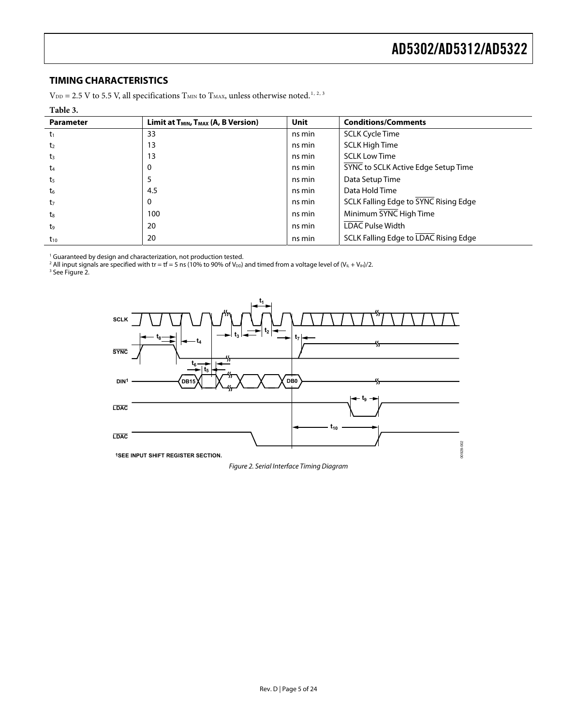### <span id="page-4-0"></span>**TIMING CHARACTERISTICS**

 $\rm V_{\rm DD}$  = [2](#page-23-6).5 V to 5.5 V, all specifications  $\rm T_{\rm MIN}$  to  $\rm T_{\rm MAX}$  unless otherwise noted. $^{1,\,2,\,3}$  $^{1,\,2,\,3}$  $^{1,\,2,\,3}$  $^{1,\,2,\,3}$  $^{1,\,2,\,3}$ 

#### **Table 3.**

| <b>Parameter</b> | Limit at T <sub>MIN</sub> , T <sub>MAX</sub> (A, B Version) | <b>Unit</b> | <b>Conditions/Comments</b>                   |
|------------------|-------------------------------------------------------------|-------------|----------------------------------------------|
| $-t_1$           | 33                                                          | ns min      | <b>SCLK Cycle Time</b>                       |
| t <sub>2</sub>   | 13                                                          | ns min      | <b>SCLK High Time</b>                        |
| $t_3$            | 13                                                          | ns min      | <b>SCLK Low Time</b>                         |
| $t_{4}$          | 0                                                           | ns min      | SYNC to SCLK Active Edge Setup Time          |
| t <sub>5</sub>   |                                                             | ns min      | Data Setup Time                              |
| ${\sf t_6}$      | 4.5                                                         | ns min      | Data Hold Time                               |
| t <sub>7</sub>   | 0                                                           | ns min      | SCLK Falling Edge to SYNC Rising Edge        |
| $t_{8}$          | 100                                                         | ns min      | Minimum SYNC High Time                       |
| t <sub>9</sub>   | 20                                                          | ns min      | <b>LDAC Pulse Width</b>                      |
| $t_{10}$         | 20                                                          | ns min      | <b>SCLK Falling Edge to LDAC Rising Edge</b> |

' Guaranteed by design and characterization, not production tested.<br><sup>2</sup> All input signals are specified with tr = tf = 5 ns (10% to 90% of V<sub>DD</sub>) and timed from a voltage level of (V<sub>IL</sub> + V<sub>IH</sub>)/2.<br><sup>3</sup> See Figure 2.

<span id="page-4-1"></span>



Figure 2. Serial Interface Timing Diagram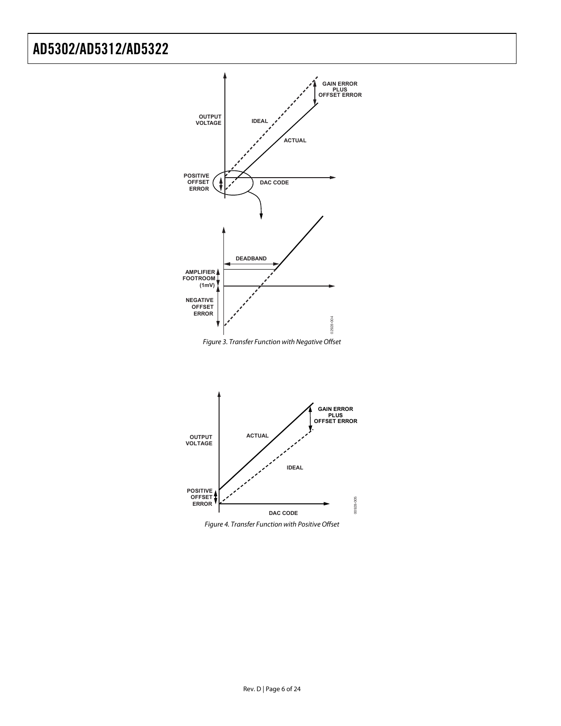



<span id="page-5-0"></span>

<span id="page-5-1"></span>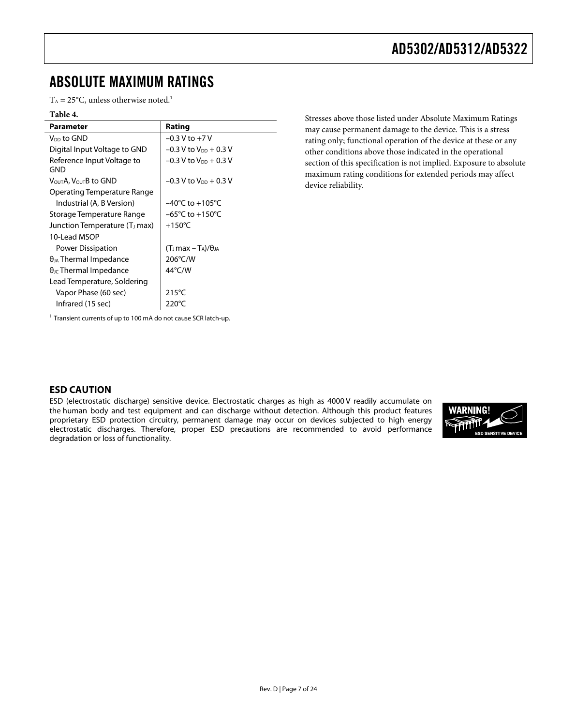### <span id="page-6-0"></span>ABSOLUTE MAXIMUM RATINGS

 $T_A = 25$ °C, unless otherwise noted.<sup>1</sup>

| Parameter                                 | Rating                               |
|-------------------------------------------|--------------------------------------|
| Voo to GND.                               | $-0.3$ V to $+7$ V                   |
| Digital Input Voltage to GND              | $-0.3$ V to V <sub>DD</sub> + 0.3 V  |
| Reference Input Voltage to<br>GND         | $-0.3$ V to V <sub>DD</sub> $+0.3$ V |
| VουτΑ. VουτΒ to GND                       | $-0.3$ V to V <sub>DD</sub> + 0.3 V  |
| Operating Temperature Range               |                                      |
| Industrial (A, B Version)                 | $-40^{\circ}$ C to $+105^{\circ}$ C  |
| Storage Temperature Range                 | $-65^{\circ}$ C to $+150^{\circ}$ C  |
| Junction Temperature (T <sub>J</sub> max) | $+150^{\circ}$ C                     |
| 10-Lead MSOP                              |                                      |
| Power Dissipation                         | $(T_1max - T_A)/\theta_{IA}$         |
| $\theta$ <sub>JA</sub> Thermal Impedance  | 206°C/W                              |
| $\theta_{\text{JC}}$ Thermal Impedance    | $44^{\circ}$ C/W                     |
| Lead Temperature, Soldering               |                                      |
| Vapor Phase (60 sec)                      | $215^{\circ}$ C                      |
| Infrared (15 sec)                         | 220°C                                |

Table 4. **The COVID-2000** Stresses above those listed under Absolute Maximum Ratings may cause permanent damage to the device. This is a stress rating only; functional operation of the device at these or any other conditions above those indicated in the operational section of this specification is not implied. Exposure to absolute maximum rating conditions for extended periods may affect device reliability.

<sup>1</sup> Transient currents of up to 100 mA do not cause SCR latch-up.

### **ESD CAUTION**

ESD (electrostatic discharge) sensitive device. Electrostatic charges as high as 4000 V readily accumulate on the human body and test equipment and can discharge without detection. Although this product features proprietary ESD protection circuitry, permanent damage may occur on devices subjected to high energy electrostatic discharges. Therefore, proper ESD precautions are recommended to avoid performance degradation or loss of functionality.

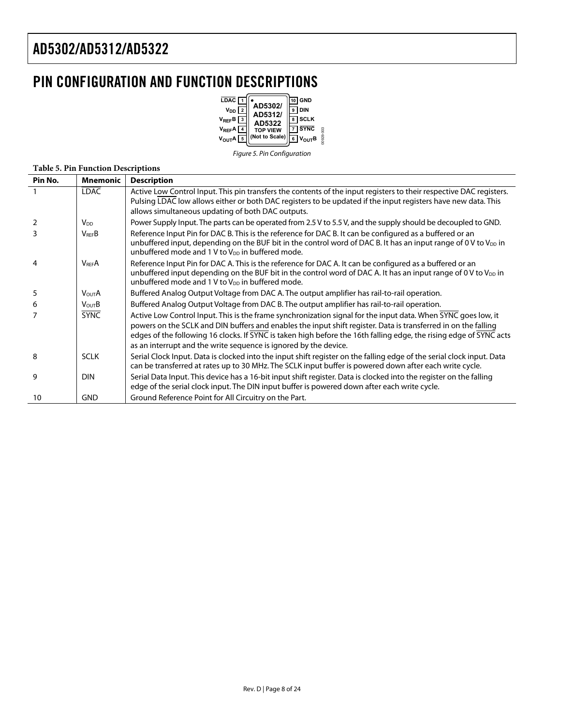# <span id="page-7-0"></span>PIN CONFIGURATION AND FUNCTION DESCRIPTIONS

| LDAC <sup>1</sup><br>AD5302/<br>$V_{DD}$ $2$<br>AD5312/<br>$V_{REF}B$<br>AD5322<br>V <sub>REF</sub> A<br><b>TOP VIEW</b><br>(Not to Scale)<br>V <sub>OUT</sub> A | GND<br><b>DIN</b><br><b>SCLK</b><br><b>SYNC</b><br>3828<br>$V_{OUT}B$ |
|------------------------------------------------------------------------------------------------------------------------------------------------------------------|-----------------------------------------------------------------------|
|------------------------------------------------------------------------------------------------------------------------------------------------------------------|-----------------------------------------------------------------------|

Figure 5. Pin Configuration

#### **Table 5. Pin Function Descriptions**

| <b>Mnemonic</b>         | <b>Description</b>                                                                                                                                                                                                                                                                                                                                                                                                        |
|-------------------------|---------------------------------------------------------------------------------------------------------------------------------------------------------------------------------------------------------------------------------------------------------------------------------------------------------------------------------------------------------------------------------------------------------------------------|
| <b>LDAC</b>             | Active Low Control Input. This pin transfers the contents of the input registers to their respective DAC registers.<br>Pulsing LDAC low allows either or both DAC registers to be updated if the input registers have new data. This                                                                                                                                                                                      |
|                         | allows simultaneous updating of both DAC outputs.                                                                                                                                                                                                                                                                                                                                                                         |
| <b>V</b> <sub>DD</sub>  | Power Supply Input. The parts can be operated from 2.5 V to 5.5 V, and the supply should be decoupled to GND.                                                                                                                                                                                                                                                                                                             |
| $V_{\text{REF}}B$       | Reference Input Pin for DAC B. This is the reference for DAC B. It can be configured as a buffered or an<br>unbuffered input, depending on the BUF bit in the control word of DAC B. It has an input range of 0 V to $V_{DD}$ in<br>unbuffered mode and 1 V to V <sub>DD</sub> in buffered mode.                                                                                                                          |
| <b>V<sub>RFF</sub>A</b> | Reference Input Pin for DAC A. This is the reference for DAC A. It can be configured as a buffered or an<br>unbuffered input depending on the BUF bit in the control word of DAC A. It has an input range of 0 V to $V_{DD}$ in<br>unbuffered mode and 1 V to V <sub>DD</sub> in buffered mode.                                                                                                                           |
| <b>VOUTA</b>            | Buffered Analog Output Voltage from DAC A. The output amplifier has rail-to-rail operation.                                                                                                                                                                                                                                                                                                                               |
| $V_{\text{OUT}}B$       | Buffered Analog Output Voltage from DAC B. The output amplifier has rail-to-rail operation.                                                                                                                                                                                                                                                                                                                               |
| <b>SYNC</b>             | Active Low Control Input. This is the frame synchronization signal for the input data. When SYNC goes low, it<br>powers on the SCLK and DIN buffers and enables the input shift register. Data is transferred in on the falling<br>edges of the following 16 clocks. If SYNC is taken high before the 16th falling edge, the rising edge of SYNC acts<br>as an interrupt and the write sequence is ignored by the device. |
| <b>SCLK</b>             | Serial Clock Input. Data is clocked into the input shift register on the falling edge of the serial clock input. Data<br>can be transferred at rates up to 30 MHz. The SCLK input buffer is powered down after each write cycle.                                                                                                                                                                                          |
| <b>DIN</b>              | Serial Data Input. This device has a 16-bit input shift register. Data is clocked into the register on the falling<br>edge of the serial clock input. The DIN input buffer is powered down after each write cycle.                                                                                                                                                                                                        |
| <b>GND</b>              | Ground Reference Point for All Circuitry on the Part.                                                                                                                                                                                                                                                                                                                                                                     |
|                         |                                                                                                                                                                                                                                                                                                                                                                                                                           |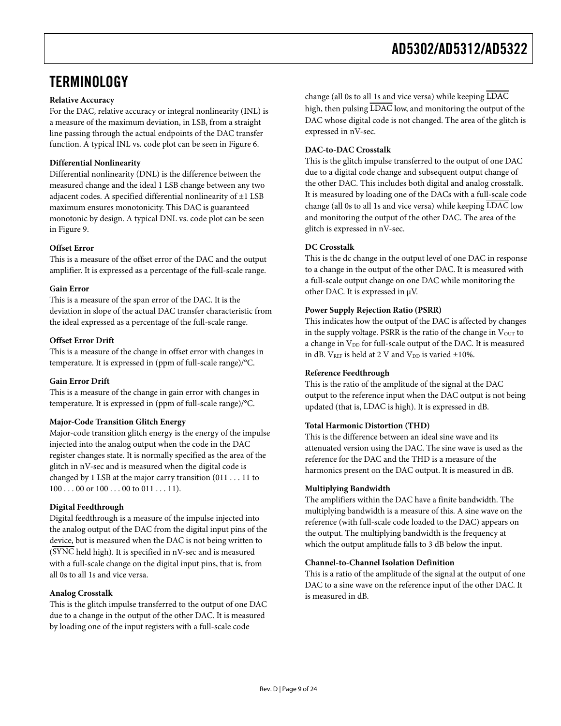### <span id="page-8-0"></span>**TERMINOLOGY**

### **Relative Accuracy**

For the DAC, relative accuracy or integral nonlinearity (INL) is a measure of the maximum deviation, in LSB, from a straight line passing through the actual endpoints of the DAC transfer function. A typical INL vs. code plot can be seen in [Figure 6.](#page-9-1)

### **Differential Nonlinearity**

Differential nonlinearity (DNL) is the difference between the measured change and the ideal 1 LSB change between any two adjacent codes. A specified differential nonlinearity of ±1 LSB maximum ensures monotonicity. This DAC is guaranteed monotonic by design. A typical DNL vs. code plot can be seen in [Figure 9.](#page-9-1)

### **Offset Error**

This is a measure of the offset error of the DAC and the output amplifier. It is expressed as a percentage of the full-scale range.

### **Gain Error**

This is a measure of the span error of the DAC. It is the deviation in slope of the actual DAC transfer characteristic from the ideal expressed as a percentage of the full-scale range.

### **Offset Error Drift**

This is a measure of the change in offset error with changes in temperature. It is expressed in (ppm of full-scale range)/°C.

### **Gain Error Drift**

This is a measure of the change in gain error with changes in temperature. It is expressed in (ppm of full-scale range)/°C.

### **Major-Code Transition Glitch Energy**

Major-code transition glitch energy is the energy of the impulse injected into the analog output when the code in the DAC register changes state. It is normally specified as the area of the glitch in nV-sec and is measured when the digital code is changed by 1 LSB at the major carry transition (011 . . . 11 to  $100...00$  or  $100...00$  to  $011...11$ .

### **Digital Feedthrough**

Digital feedthrough is a measure of the impulse injected into the analog output of the DAC from the digital input pins of the device, but is measured when the DAC is not being written to (SYNC held high). It is specified in nV-sec and is measured with a full-scale change on the digital input pins, that is, from all 0s to all 1s and vice versa.

### **Analog Crosstalk**

This is the glitch impulse transferred to the output of one DAC due to a change in the output of the other DAC. It is measured by loading one of the input registers with a full-scale code

change (all 0s to all 1s and vice versa) while keeping LDAC high, then pulsing LDAC low, and monitoring the output of the DAC whose digital code is not changed. The area of the glitch is expressed in nV-sec.

### **DAC-to-DAC Crosstalk**

This is the glitch impulse transferred to the output of one DAC due to a digital code change and subsequent output change of the other DAC. This includes both digital and analog crosstalk. It is measured by loading one of the DACs with a full-scale code change (all 0s to all 1s and vice versa) while keeping LDAC low and monitoring the output of the other DAC. The area of the glitch is expressed in nV-sec.

### **DC Crosstalk**

This is the dc change in the output level of one DAC in response to a change in the output of the other DAC. It is measured with a full-scale output change on one DAC while monitoring the other DAC. It is expressed in μV.

### **Power Supply Rejection Ratio (PSRR)**

This indicates how the output of the DAC is affected by changes in the supply voltage. PSRR is the ratio of the change in Vour to a change in V<sub>DD</sub> for full-scale output of the DAC. It is measured in dB.  $V_{REF}$  is held at 2 V and  $V_{DD}$  is varied  $\pm 10\%$ .

### **Reference Feedthrough**

This is the ratio of the amplitude of the signal at the DAC output to the reference input when the DAC output is not being updated (that is, LDAC is high). It is expressed in dB.

### **Total Harmonic Distortion (THD)**

This is the difference between an ideal sine wave and its attenuated version using the DAC. The sine wave is used as the reference for the DAC and the THD is a measure of the harmonics present on the DAC output. It is measured in dB.

### **Multiplying Bandwidth**

The amplifiers within the DAC have a finite bandwidth. The multiplying bandwidth is a measure of this. A sine wave on the reference (with full-scale code loaded to the DAC) appears on the output. The multiplying bandwidth is the frequency at which the output amplitude falls to 3 dB below the input.

### **Channel-to-Channel Isolation Definition**

This is a ratio of the amplitude of the signal at the output of one DAC to a sine wave on the reference input of the other DAC. It is measured in dB.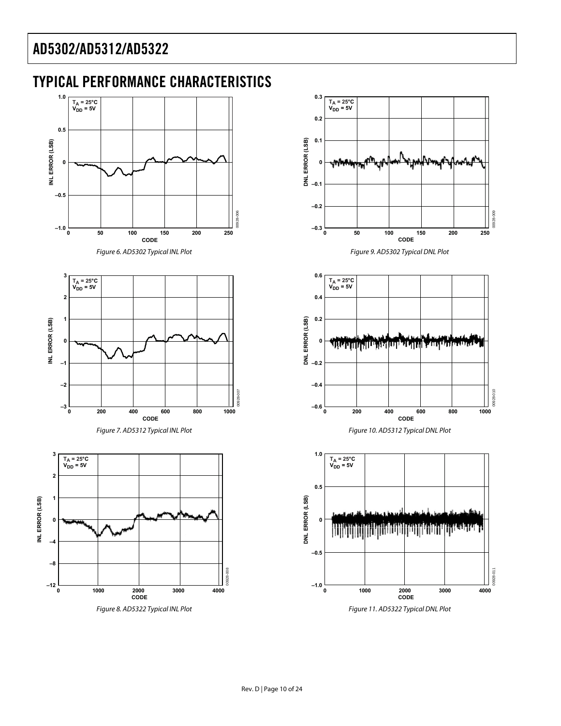### <span id="page-9-0"></span>TYPICAL PERFORMANCE CHARACTERISTICS

<span id="page-9-1"></span>



Figure 8. AD5322 Typical INL Plot

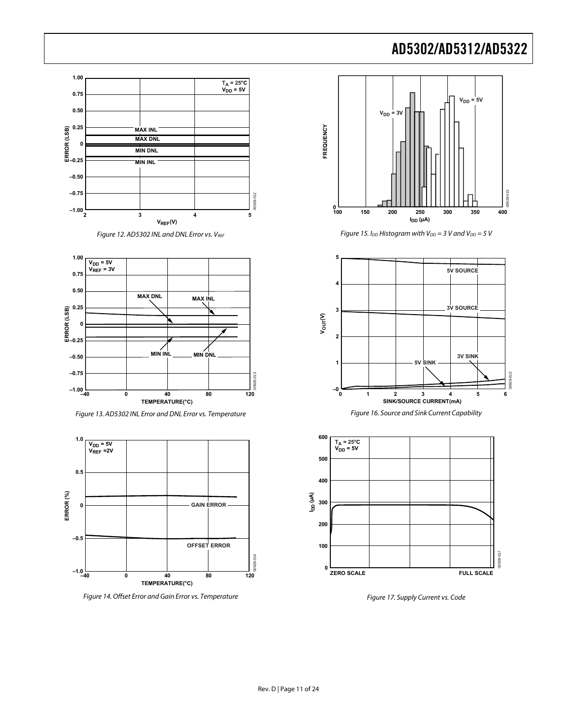





Figure 13. AD5302 INL Error and DNL Error vs. Temperature

<span id="page-10-0"></span>

Figure 14. Offset Error and Gain Error vs. Temperature



Figure 15. I<sub>DD</sub> Histogram with V<sub>DD</sub> = 3 V and V<sub>DD</sub> = 5 V



Figure 16. Source and Sink Current Capability



Figure 17. Supply Current vs. Code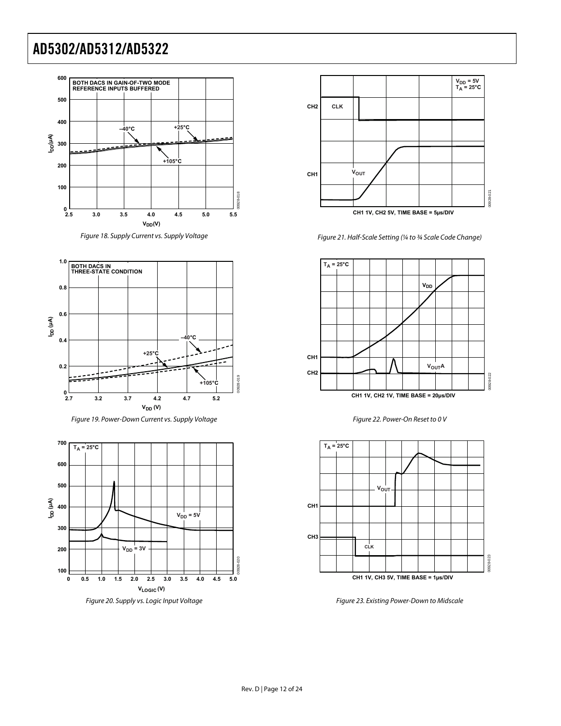



<span id="page-11-0"></span>





<span id="page-11-1"></span>



Figure 21. Half-Scale Setting (¼ to ¾ Scale Code Change)







Figure 23. Existing Power-Down to Midscale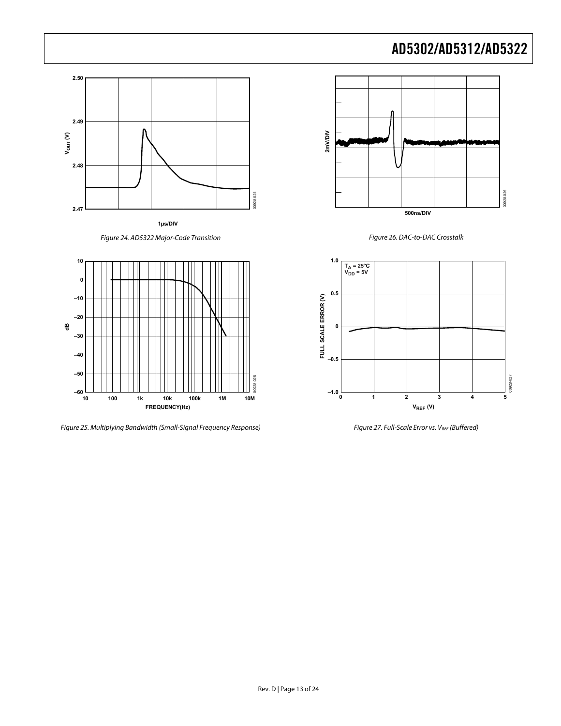

**1µs/DIV**





Figure 25. Multiplying Bandwidth (Small-Signal Frequency Response) Figure 27. Full-Scale Error vs. VREF (Buffered)





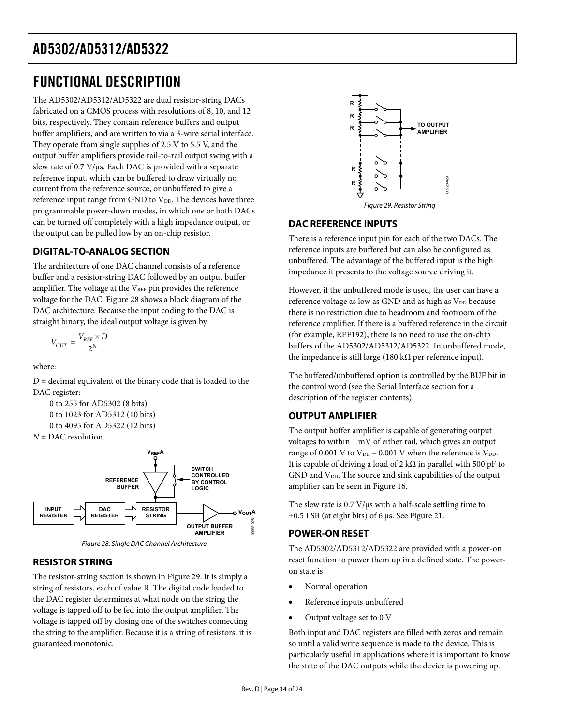# <span id="page-13-0"></span>FUNCTIONAL DESCRIPTION

The AD5302/AD5312/AD5322 are dual resistor-string DACs fabricated on a CMOS process with resolutions of 8, 10, and 12 bits, respectively. They contain reference buffers and output buffer amplifiers, and are written to via a 3-wire serial interface. They operate from single supplies of 2.5 V to 5.5 V, and the output buffer amplifiers provide rail-to-rail output swing with a slew rate of 0.7 V/μs. Each DAC is provided with a separate reference input, which can be buffered to draw virtually no current from the reference source, or unbuffered to give a reference input range from GND to V<sub>DD</sub>. The devices have three programmable power-down modes, in which one or both DACs can be turned off completely with a high impedance output, or the output can be pulled low by an on-chip resistor.

### <span id="page-13-2"></span>**DIGITAL-TO-ANALOG SECTION**

The architecture of one DAC channel consists of a reference buffer and a resistor-string DAC followed by an output buffer amplifier. The voltage at the  $V_{REF}$  pin provides the reference voltage for the DAC. [Figure 28](#page-13-1) shows a block diagram of the DAC architecture. Because the input coding to the DAC is straight binary, the ideal output voltage is given by

$$
V_{OUT}=\frac{V_{REF}\times D}{2^{N}}
$$

where:

 $D =$  decimal equivalent of the binary code that is loaded to the DAC register:

```
0 to 255 for AD5302 (8 bits) 
0 to 1023 for AD5312 (10 bits) 
0 to 4095 for AD5322 (12 bits)
```

```
N = DAC resolution.
```




### <span id="page-13-1"></span>**RESISTOR STRING**

The resistor-string section is shown in [Figure 29](#page-13-2). It is simply a string of resistors, each of value R. The digital code loaded to the DAC register determines at what node on the string the voltage is tapped off to be fed into the output amplifier. The voltage is tapped off by closing one of the switches connecting the string to the amplifier. Because it is a string of resistors, it is guaranteed monotonic.



Figure 29. Resistor String

### **DAC REFERENCE INPUTS**

There is a reference input pin for each of the two DACs. The reference inputs are buffered but can also be configured as unbuffered. The advantage of the buffered input is the high impedance it presents to the voltage source driving it.

However, if the unbuffered mode is used, the user can have a reference voltage as low as GND and as high as  $V_{DD}$  because there is no restriction due to headroom and footroom of the reference amplifier. If there is a buffered reference in the circuit (for example, REF192), there is no need to use the on-chip buffers of the AD5302/AD5312/AD5322. In unbuffered mode, the impedance is still large (180 kΩ per reference input).

The buffered/unbuffered option is controlled by the BUF bit in the control word (see the [Serial Interface](#page-14-1) section for a description of the register contents).

### **OUTPUT AMPLIFIER**

The output buffer amplifier is capable of generating output voltages to within 1 mV of either rail, which gives an output range of 0.001 V to  $V_{DD}$  – 0.001 V when the reference is  $V_{DD}$ . It is capable of driving a load of 2 k $\Omega$  in parallel with 500 pF to  $GND$  and  $V<sub>DD</sub>$ . The source and sink capabilities of the output amplifier can be seen in [Figure 16.](#page-10-0)

The slew rate is 0.7 V/μs with a half-scale settling time to ±0.5 LSB (at eight bits) of 6 μs. See [Figure 21](#page-11-0).

### **POWER-ON RESET**

The AD5302/AD5312/AD5322 are provided with a power-on reset function to power them up in a defined state. The poweron state is

- Normal operation
- Reference inputs unbuffered
- Output voltage set to 0 V

Both input and DAC registers are filled with zeros and remain so until a valid write sequence is made to the device. This is particularly useful in applications where it is important to know the state of the DAC outputs while the device is powering up.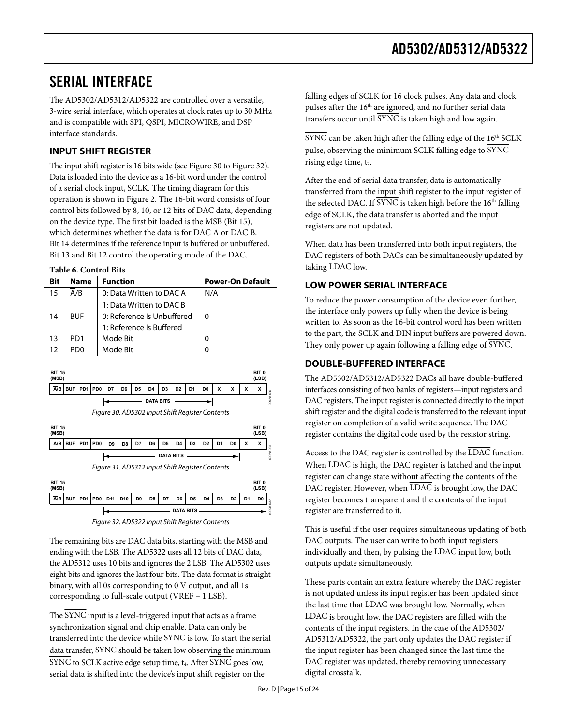### <span id="page-14-1"></span><span id="page-14-0"></span>SERIAL INTERFACE

The AD5302/AD5312/AD5322 are controlled over a versatile, 3-wire serial interface, which operates at clock rates up to 30 MHz and is compatible with SPI, QSPI, MICROWIRE, and DSP interface standards.

### **INPUT SHIFT REGISTER**

The input shift register is 16 bits wide (see [Figure 30](#page-14-2) to [Figure 32\)](#page-14-3). Data is loaded into the device as a 16-bit word under the control of a serial clock input, SCLK. The timing diagram for this operation is shown in [Figure 2](#page-4-1). The 16-bit word consists of four control bits followed by 8, 10, or 12 bits of DAC data, depending on the device type. The first bit loaded is the MSB (Bit 15), which determines whether the data is for DAC A or DAC B. Bit 14 determines if the reference input is buffered or unbuffered. Bit 13 and Bit 12 control the operating mode of the DAC.

### **Table 6. Control Bits**

| Bit | <b>Name</b>     | <b>Function</b>            | <b>Power-On Default</b> |
|-----|-----------------|----------------------------|-------------------------|
| 15  | A/B             | 0: Data Written to DAC A   | N/A                     |
|     |                 | 1: Data Written to DAC B   |                         |
| 14  | <b>BUF</b>      | 0: Reference Is Unbuffered | 0                       |
|     |                 | 1: Reference Is Buffered   |                         |
| 13  | PD <sub>1</sub> | Mode Bit                   | 0                       |
| 12  | PD <sub>0</sub> | Mode Bit                   | ŋ                       |

<span id="page-14-2"></span>

Figure 32. AD5322 Input Shift Register Contents

<span id="page-14-3"></span>The remaining bits are DAC data bits, starting with the MSB and ending with the LSB. The AD5322 uses all 12 bits of DAC data, the AD5312 uses 10 bits and ignores the 2 LSB. The AD5302 uses eight bits and ignores the last four bits. The data format is straight binary, with all 0s corresponding to 0 V output, and all 1s corresponding to full-scale output (VREF – 1 LSB).

The SYNC input is a level-triggered input that acts as a frame synchronization signal and chip enable. Data can only be transferred into the device while SYNC is low. To start the serial data transfer,  $\overline{\text{SYNC}}$  should be taken low observing the minimum  $\overline{\text{SYNC}}$  to SCLK active edge setup time,  $t_4$ . After  $\overline{\text{SYNC}}$  goes low, serial data is shifted into the device's input shift register on the

falling edges of SCLK for 16 clock pulses. Any data and clock pulses after the 16<sup>th</sup> are ignored, and no further serial data transfers occur until SYNC is taken high and low again.

 $\overline{\text{SYNC}}$  can be taken high after the falling edge of the  $16^{\text{th}}$  SCLK pulse, observing the minimum SCLK falling edge to SYNC rising edge time, t<sub>7</sub>.

After the end of serial data transfer, data is automatically transferred from the input shift register to the input register of the selected DAC. If SYNC is taken high before the 16<sup>th</sup> falling edge of SCLK, the data transfer is aborted and the input registers are not updated.

When data has been transferred into both input registers, the DAC registers of both DACs can be simultaneously updated by taking LDAC low.

### **LOW POWER SERIAL INTERFACE**

To reduce the power consumption of the device even further, the interface only powers up fully when the device is being written to. As soon as the 16-bit control word has been written to the part, the SCLK and DIN input buffers are powered down. They only power up again following a falling edge of SYNC.

### **DOUBLE-BUFFERED INTERFACE**

The AD5302/AD5312/AD5322 DACs all have double-buffered interfaces consisting of two banks of registers—input registers and DAC registers. The input register is connected directly to the input shift register and the digital code is transferred to the relevant input register on completion of a valid write sequence. The DAC register contains the digital code used by the resistor string.

Access to the DAC register is controlled by the LDAC function. When LDAC is high, the DAC register is latched and the input register can change state without affecting the contents of the DAC register. However, when LDAC is brought low, the DAC register becomes transparent and the contents of the input register are transferred to it.

This is useful if the user requires simultaneous updating of both DAC outputs. The user can write to both input registers individually and then, by pulsing the LDAC input low, both outputs update simultaneously.

These parts contain an extra feature whereby the DAC register is not updated unless its input register has been updated since the last time that LDAC was brought low. Normally, when LDAC is brought low, the DAC registers are filled with the contents of the input registers. In the case of the AD5302/ AD5312/AD5322, the part only updates the DAC register if the input register has been changed since the last time the DAC register was updated, thereby removing unnecessary digital crosstalk.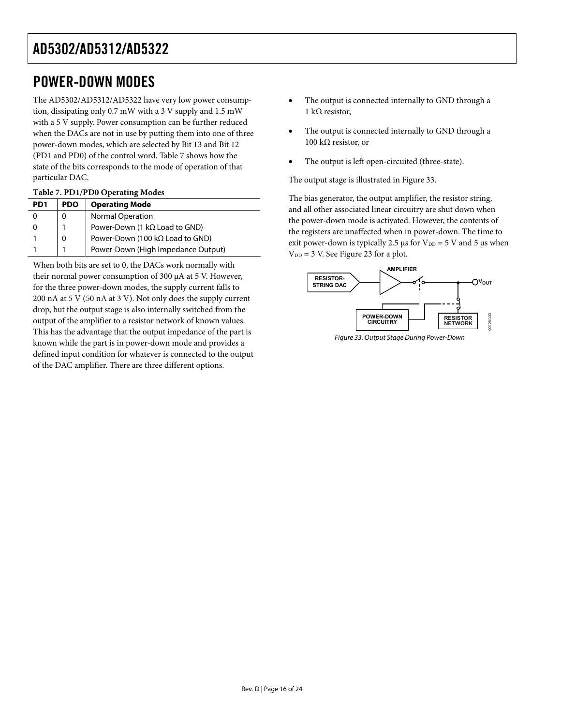### <span id="page-15-0"></span>POWER-DOWN MODES

The AD5302/AD5312/AD5322 have very low power consumption, dissipating only 0.7 mW with a 3 V supply and 1.5 mW with a 5 V supply. Power consumption can be further reduced when the DACs are not in use by putting them into one of three power-down modes, which are selected by Bit 13 and Bit 12 (PD1 and PD0) of the control word. [Table 7](#page-15-1) shows how the state of the bits corresponds to the mode of operation of that particular DAC.

### **Table 7. PD1/PD0 Operating Modes**

<span id="page-15-1"></span>

| PD <sub>1</sub> | <b>PDO</b> | <b>Operating Mode</b>                   |
|-----------------|------------|-----------------------------------------|
|                 | 0          | <b>Normal Operation</b>                 |
|                 |            | Power-Down (1 $k\Omega$ Load to GND)    |
|                 | 0          | Power-Down (100 k $\Omega$ Load to GND) |
|                 |            | Power-Down (High Impedance Output)      |

<span id="page-15-2"></span>When both bits are set to 0, the DACs work normally with their normal power consumption of 300 μA at 5 V. However, for the three power-down modes, the supply current falls to 200 nA at 5 V (50 nA at 3 V). Not only does the supply current drop, but the output stage is also internally switched from the output of the amplifier to a resistor network of known values. This has the advantage that the output impedance of the part is known while the part is in power-down mode and provides a defined input condition for whatever is connected to the output of the DAC amplifier. There are three different options.

- The output is connected internally to GND through a 1 kΩ resistor,
- The output is connected internally to GND through a 100 kΩ resistor, or
- The output is left open-circuited (three-state).

The output stage is illustrated in [Figure 33](#page-15-2).

The bias generator, the output amplifier, the resistor string, and all other associated linear circuitry are shut down when the power-down mode is activated. However, the contents of the registers are unaffected when in power-down. The time to exit power-down is typically 2.5 μs for  $V_{DD} = 5$  V and 5 μs when  $V_{DD} = 3$  V. See [Figure 23](#page-11-1) for a plot.



Figure 33. Output Stage During Power-Down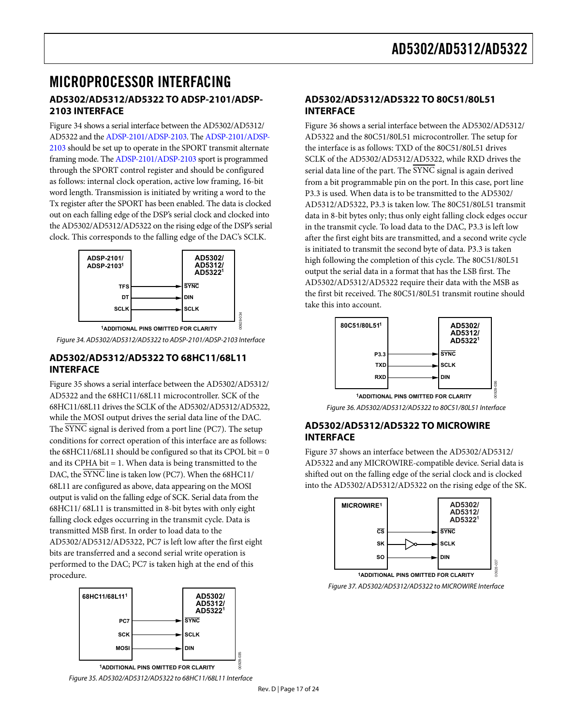### <span id="page-16-0"></span>MICROPROCESSOR INTERFACING **AD5302/AD5312/AD5322 TO ADSP-2101/ADSP-2103 INTERFACE**

[Figure 34](#page-16-1) shows a serial interface between the AD5302/AD5312/ AD5322 and the [ADSP-2101/ADSP-2103.](http://www.analog.com/en/prod/0%2C2877%2CADSP%25252D2101%2C00.html) The [ADSP-2101/ADSP-](http://www.analog.com/en/prod/0%2C2877%2CADSP%25252D2101%2C00.html)[2103](http://www.analog.com/en/prod/0%2C2877%2CADSP%25252D2101%2C00.html) should be set up to operate in the SPORT transmit alternate framing mode. The [ADSP-2101/ADSP-2103](http://www.analog.com/en/prod/0%2C2877%2CADSP%25252D2101%2C00.html) sport is programmed through the SPORT control register and should be configured as follows: internal clock operation, active low framing, 16-bit word length. Transmission is initiated by writing a word to the Tx register after the SPORT has been enabled. The data is clocked out on each falling edge of the DSP's serial clock and clocked into the AD5302/AD5312/AD5322 on the rising edge of the DSP's serial clock. This corresponds to the falling edge of the DAC's SCLK.



Figure 34. AD5302/AD5312/AD5322 to ADSP-2101/ADSP-2103 Interface

### <span id="page-16-1"></span>**AD5302/AD5312/AD5322 TO 68HC11/68L11 INTERFACE**

<span id="page-16-3"></span>[Figure 35](#page-16-2) shows a serial interface between the AD5302/AD5312/ AD5322 and the 68HC11/68L11 microcontroller. SCK of the 68HC11/68L11 drives the SCLK of the AD5302/AD5312/AD5322, while the MOSI output drives the serial data line of the DAC. The SYNC signal is derived from a port line (PC7). The setup conditions for correct operation of this interface are as follows: the  $68HCl1/68L11$  should be configured so that its CPOL bit = 0 and its CPHA bit  $= 1$ . When data is being transmitted to the DAC, the SYNC line is taken low (PC7). When the 68HC11/ 68L11 are configured as above, data appearing on the MOSI output is valid on the falling edge of SCK. Serial data from the 68HC11/ 68L11 is transmitted in 8-bit bytes with only eight falling clock edges occurring in the transmit cycle. Data is transmitted MSB first. In order to load data to the AD5302/AD5312/AD5322, PC7 is left low after the first eight bits are transferred and a second serial write operation is performed to the DAC; PC7 is taken high at the end of this procedure.

<span id="page-16-4"></span>

<span id="page-16-2"></span>Figure 35. AD5302/AD5312/AD5322 to 68HC11/68L11 Interface

### **AD5302/AD5312/AD5322 TO 80C51/80L51 INTERFACE**

[Figure 36](#page-16-3) shows a serial interface between the AD5302/AD5312/ AD5322 and the 80C51/80L51 microcontroller. The setup for the interface is as follows: TXD of the 80C51/80L51 drives SCLK of the AD5302/AD5312/AD5322, while RXD drives the serial data line of the part. The SYNC signal is again derived from a bit programmable pin on the port. In this case, port line P3.3 is used. When data is to be transmitted to the AD5302/ AD5312/AD5322, P3.3 is taken low. The 80C51/80L51 transmit data in 8-bit bytes only; thus only eight falling clock edges occur in the transmit cycle. To load data to the DAC, P3.3 is left low after the first eight bits are transmitted, and a second write cycle is initiated to transmit the second byte of data. P3.3 is taken high following the completion of this cycle. The 80C51/80L51 output the serial data in a format that has the LSB first. The AD5302/AD5312/AD5322 require their data with the MSB as the first bit received. The 80C51/80L51 transmit routine should take this into account.



Figure 36. AD5302/AD5312/AD5322 to 80C51/80L51 Interface

### **AD5302/AD5312/AD5322 TO MICROWIRE INTERFACE**

[Figure 37](#page-16-4) shows an interface between the AD5302/AD5312/ AD5322 and any MICROWIRE-compatible device. Serial data is shifted out on the falling edge of the serial clock and is clocked into the AD5302/AD5312/AD5322 on the rising edge of the SK.



Figure 37. AD5302/AD5312/AD5322 to MICROWIRE Interface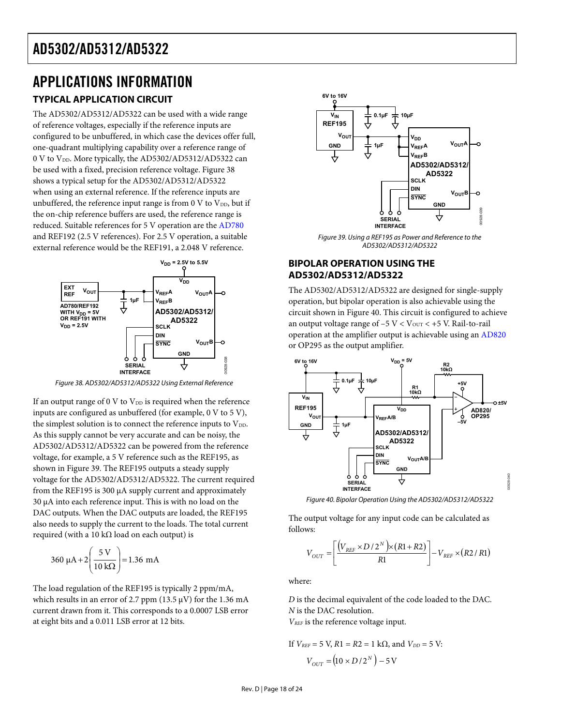### <span id="page-17-0"></span>APPLICATIONS INFORMATION **TYPICAL APPLICATION CIRCUIT**

The AD5302/AD5312/AD5322 can be used with a wide range of reference voltages, especially if the reference inputs are configured to be unbuffered, in which case the devices offer full, one-quadrant multiplying capability over a reference range of 0 V to V<sub>DD</sub>. More typically, the AD5302/AD5312/AD5322 can be used with a fixed, precision reference voltage. [Figure 38](#page-17-1) shows a typical setup for the AD5302/AD5312/AD5322 when using an external reference. If the reference inputs are unbuffered, the reference input range is from  $0 \text{ V}$  to  $V_{DD}$ , but if the on-chip reference buffers are used, the reference range is reduced. Suitable references for 5 V operation are the [AD780](http://www.analog.com/en/prod/0,2877,AD780,00.html) and REF192 (2.5 V references). For 2.5 V operation, a suitable external reference would be the REF191, a 2.048 V reference.

<span id="page-17-2"></span>

Figure 38. AD5302/AD5312/AD5322 Using External Reference

<span id="page-17-1"></span>If an output range of 0 V to  $V_{DD}$  is required when the reference inputs are configured as unbuffered (for example, 0 V to 5 V), the simplest solution is to connect the reference inputs to V<sub>DD</sub>. As this supply cannot be very accurate and can be noisy, the AD5302/AD5312/AD5322 can be powered from the reference voltage, for example, a 5 V reference such as the REF195, as shown in [Figure 39](#page-17-2). The REF195 outputs a steady supply voltage for the AD5302/AD5312/AD5322. The current required from the REF195 is 300 μA supply current and approximately 30 μA into each reference input. This is with no load on the DAC outputs. When the DAC outputs are loaded, the REF195 also needs to supply the current to the loads. The total current required (with a 10 kΩ load on each output) is

<span id="page-17-3"></span>
$$
360 \, \mu A + 2 \left( \frac{5 \, \text{V}}{10 \, \text{k}\Omega} \right) = 1.36 \, \text{mA}
$$

The load regulation of the REF195 is typically 2 ppm/mA, which results in an error of 2.7 ppm (13.5  $\mu$ V) for the 1.36 mA current drawn from it. This corresponds to a 0.0007 LSB error at eight bits and a 0.011 LSB error at 12 bits.



Figure 39. Using a REF195 as Power and Reference to the AD5302/AD5312/AD5322

### **BIPOLAR OPERATION USING THE AD5302/AD5312/AD5322**

The AD5302/AD5312/AD5322 are designed for single-supply operation, but bipolar operation is also achievable using the circuit shown in [Figure 40](#page-17-3). This circuit is configured to achieve an output voltage range of  $-5$  V <  $V_{\text{OUT}}$  <  $+5$  V. Rail-to-rail operation at the amplifier output is achievable using an [AD820](http://www.analog.com/en/prod/0,,AD820,00.html)  or OP295 as the output amplifier.



Figure 40. Bipolar Operation Using the AD5302/AD5312/AD5322

The output voltage for any input code can be calculated as follows:

$$
V_{OUT} = \left[ \frac{\left(V_{REF} \times D/2^{N}\right) \times \left(R1 + R2\right)}{R1} \right] - V_{REF} \times \left(R2 / R1\right)
$$

where:

*D* is the decimal equivalent of the code loaded to the DAC. *N* is the DAC resolution.

*VREF* is the reference voltage input.

If 
$$
V_{REF} = 5 \text{ V}
$$
,  $R1 = R2 = 1 \text{ k}\Omega$ , and  $V_{DD} = 5 \text{ V}$ :  

$$
V_{OUT} = (10 \times D/2^N) - 5 \text{ V}
$$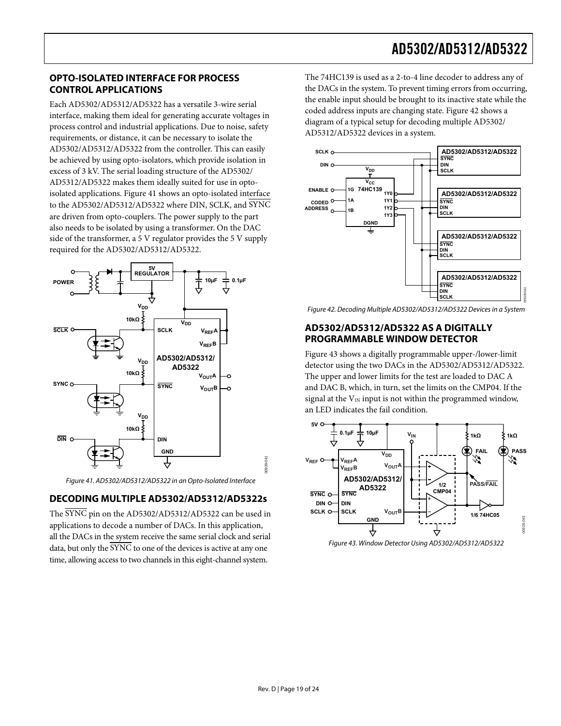### <span id="page-18-0"></span>**OPTO-ISOLATED INTERFACE FOR PROCESS CONTROL APPLICATIONS**

Each AD5302/AD5312/AD5322 has a versatile 3-wire serial interface, making them ideal for generating accurate voltages in process control and industrial applications. Due to noise, safety requirements, or distance, it can be necessary to isolate the AD5302/AD5312/AD5322 from the controller. This can easily be achieved by using opto-isolators, which provide isolation in excess of 3 kV. The serial loading structure of the AD5302/ AD5312/AD5322 makes them ideally suited for use in optoisolated applications. [Figure 41](#page-18-1) shows an opto-isolated interface to the AD5302/AD5312/AD5322 where DIN, SCLK, and SYNC are driven from opto-couplers. The power supply to the part also needs to be isolated by using a transformer. On the DAC side of the transformer, a 5 V regulator provides the 5 V supply required for the AD5302/AD5312/AD5322.

<span id="page-18-2"></span>

Figure 41. AD5302/AD5312/AD5322 in an Opto-Isolated Interface

### <span id="page-18-1"></span>**DECODING MULTIPLE AD5302/AD5312/AD5322s**

<span id="page-18-3"></span>The SYNC pin on the AD5302/AD5312/AD5322 can be used in applications to decode a number of DACs. In this application, all the DACs in the system receive the same serial clock and serial data, but only the SYNC to one of the devices is active at any one time, allowing access to two channels in this eight-channel system.

The 74HC139 is used as a 2-to-4 line decoder to address any of the DACs in the system. To prevent timing errors from occurring, the enable input should be brought to its inactive state while the coded address inputs are changing state. [Figure 42](#page-18-2) shows a diagram of a typical setup for decoding multiple AD5302/ AD5312/AD5322 devices in a system.



Figure 42. Decoding Multiple AD5302/AD5312/AD5322 Devices in a System

### **AD5302/AD5312/AD5322 AS A DIGITALLY PROGRAMMABLE WINDOW DETECTOR**

[Figure 43](#page-18-3) shows a digitally programmable upper-/lower-limit detector using the two DACs in the AD5302/AD5312/AD5322. The upper and lower limits for the test are loaded to DAC A and DAC B, which, in turn, set the limits on the CMP04. If the signal at the  $V_{IN}$  input is not within the programmed window, an LED indicates the fail condition.



00928-041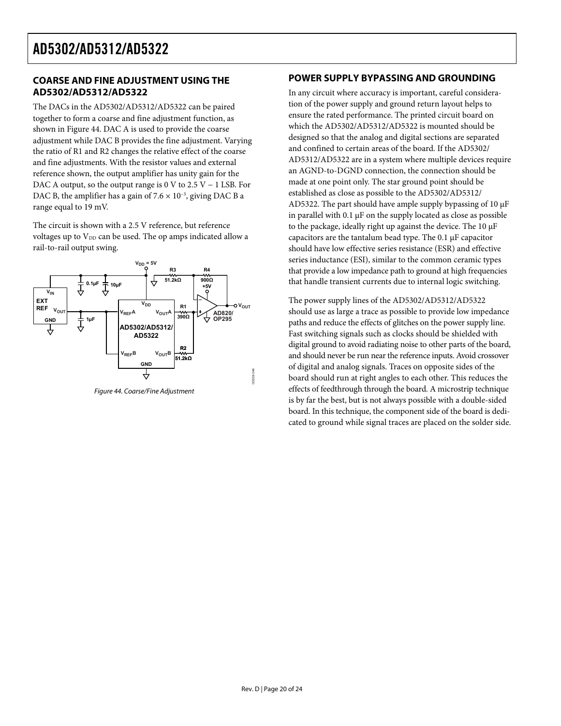### <span id="page-19-0"></span>**COARSE AND FINE ADJUSTMENT USING THE AD5302/AD5312/AD5322**

The DACs in the AD5302/AD5312/AD5322 can be paired together to form a coarse and fine adjustment function, as shown in [Figure 44](#page-19-1). DAC A is used to provide the coarse adjustment while DAC B provides the fine adjustment. Varying the ratio of R1 and R2 changes the relative effect of the coarse and fine adjustments. With the resistor values and external reference shown, the output amplifier has unity gain for the DAC A output, so the output range is 0 V to 2.5 V – 1 LSB. For DAC B, the amplifier has a gain of  $7.6 \times 10^{-3}$ , giving DAC B a range equal to 19 mV.

The circuit is shown with a 2.5 V reference, but reference voltages up to V<sub>DD</sub> can be used. The op amps indicated allow a rail-to-rail output swing.



<span id="page-19-1"></span>Figure 44. Coarse/Fine Adjustment

### **POWER SUPPLY BYPASSING AND GROUNDING**

In any circuit where accuracy is important, careful consideration of the power supply and ground return layout helps to ensure the rated performance. The printed circuit board on which the AD5302/AD5312/AD5322 is mounted should be designed so that the analog and digital sections are separated and confined to certain areas of the board. If the AD5302/ AD5312/AD5322 are in a system where multiple devices require an AGND-to-DGND connection, the connection should be made at one point only. The star ground point should be established as close as possible to the AD5302/AD5312/ AD5322. The part should have ample supply bypassing of 10 μF in parallel with  $0.1 \mu$ F on the supply located as close as possible to the package, ideally right up against the device. The 10 μF capacitors are the tantalum bead type. The 0.1 μF capacitor should have low effective series resistance (ESR) and effective series inductance (ESI), similar to the common ceramic types that provide a low impedance path to ground at high frequencies that handle transient currents due to internal logic switching.

The power supply lines of the AD5302/AD5312/AD5322 should use as large a trace as possible to provide low impedance paths and reduce the effects of glitches on the power supply line. Fast switching signals such as clocks should be shielded with digital ground to avoid radiating noise to other parts of the board, and should never be run near the reference inputs. Avoid crossover of digital and analog signals. Traces on opposite sides of the board should run at right angles to each other. This reduces the effects of feedthrough through the board. A microstrip technique is by far the best, but is not always possible with a double-sided board. In this technique, the component side of the board is dedicated to ground while signal traces are placed on the solder side.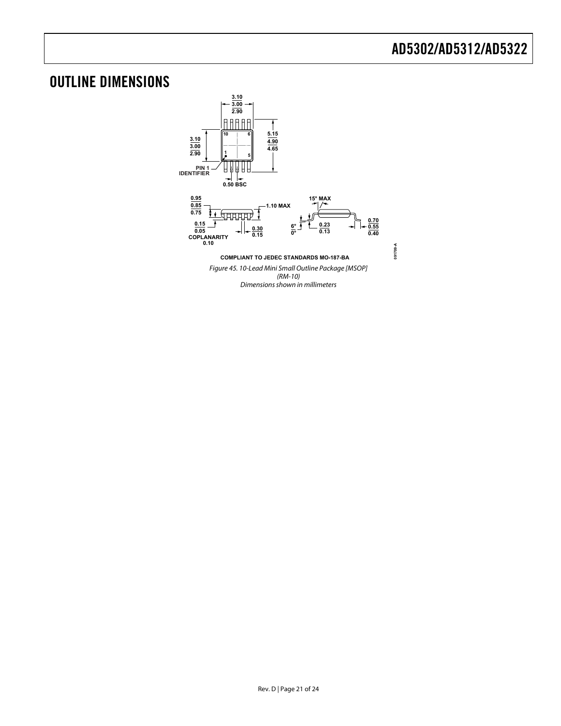## <span id="page-20-0"></span>OUTLINE DIMENSIONS

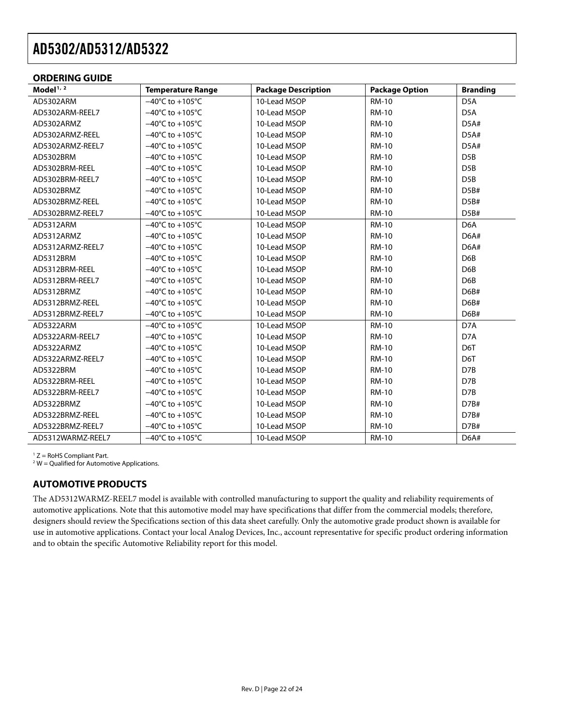### <span id="page-21-0"></span>**ORDERING GUIDE**

| Model $1/2$       | <b>Temperature Range</b>             | <b>Package Description</b> | <b>Package Option</b> | <b>Branding</b>  |
|-------------------|--------------------------------------|----------------------------|-----------------------|------------------|
| AD5302ARM         | $-40^{\circ}$ C to $+105^{\circ}$ C  | 10-Lead MSOP               | <b>RM-10</b>          | D <sub>5</sub> A |
| AD5302ARM-REEL7   | $-40^{\circ}$ C to $+105^{\circ}$ C  | 10-Lead MSOP               | <b>RM-10</b>          | D <sub>5</sub> A |
| AD5302ARMZ        | $-40^{\circ}$ C to $+105^{\circ}$ C  | 10-Lead MSOP               | <b>RM-10</b>          | D5A#             |
| AD5302ARMZ-REEL   | $-40^{\circ}$ C to $+105^{\circ}$ C  | 10-Lead MSOP               | <b>RM-10</b>          | D5A#             |
| AD5302ARMZ-REEL7  | $-40^{\circ}$ C to $+105^{\circ}$ C  | 10-Lead MSOP               | <b>RM-10</b>          | D5A#             |
| AD5302BRM         | $-40^{\circ}$ C to $+105^{\circ}$ C  | 10-Lead MSOP               | <b>RM-10</b>          | D <sub>5</sub> B |
| AD5302BRM-REEL    | $-40^{\circ}$ C to $+105^{\circ}$ C  | 10-Lead MSOP               | <b>RM-10</b>          | D <sub>5</sub> B |
| AD5302BRM-REEL7   | $-40^{\circ}$ C to $+105^{\circ}$ C  | 10-Lead MSOP               | <b>RM-10</b>          | D <sub>5</sub> B |
| AD5302BRMZ        | $-40^{\circ}$ C to +105 $^{\circ}$ C | 10-Lead MSOP               | <b>RM-10</b>          | D5B#             |
| AD5302BRMZ-REEL   | $-40^{\circ}$ C to $+105^{\circ}$ C  | 10-Lead MSOP               | <b>RM-10</b>          | D5B#             |
| AD5302BRMZ-REEL7  | $-40^{\circ}$ C to $+105^{\circ}$ C  | 10-Lead MSOP               | <b>RM-10</b>          | D5B#             |
| AD5312ARM         | $-40^{\circ}$ C to $+105^{\circ}$ C  | 10-Lead MSOP               | <b>RM-10</b>          | D <sub>6</sub> A |
| AD5312ARMZ        | $-40^{\circ}$ C to $+105^{\circ}$ C  | 10-Lead MSOP               | <b>RM-10</b>          | D6A#             |
| AD5312ARMZ-REEL7  | $-40^{\circ}$ C to $+105^{\circ}$ C  | 10-Lead MSOP               | <b>RM-10</b>          | D6A#             |
| AD5312BRM         | $-40^{\circ}$ C to $+105^{\circ}$ C  | 10-Lead MSOP               | <b>RM-10</b>          | D6B              |
| AD5312BRM-REEL    | $-40^{\circ}$ C to $+105^{\circ}$ C  | 10-Lead MSOP               | <b>RM-10</b>          | D <sub>6</sub> B |
| AD5312BRM-REEL7   | $-40^{\circ}$ C to $+105^{\circ}$ C  | 10-Lead MSOP               | <b>RM-10</b>          | D6B              |
| AD5312BRMZ        | $-40^{\circ}$ C to $+105^{\circ}$ C  | 10-Lead MSOP               | <b>RM-10</b>          | D6B#             |
| AD5312BRMZ-REEL   | $-40^{\circ}$ C to $+105^{\circ}$ C  | 10-Lead MSOP               | <b>RM-10</b>          | D6B#             |
| AD5312BRMZ-REEL7  | $-40^{\circ}$ C to $+105^{\circ}$ C  | 10-Lead MSOP               | <b>RM-10</b>          | D6B#             |
| AD5322ARM         | $-40^{\circ}$ C to $+105^{\circ}$ C  | 10-Lead MSOP               | <b>RM-10</b>          | D7A              |
| AD5322ARM-REEL7   | $-40^{\circ}$ C to $+105^{\circ}$ C  | 10-Lead MSOP               | <b>RM-10</b>          | D7A              |
| AD5322ARMZ        | $-40^{\circ}$ C to $+105^{\circ}$ C  | 10-Lead MSOP               | <b>RM-10</b>          | D6T              |
| AD5322ARMZ-REEL7  | $-40^{\circ}$ C to $+105^{\circ}$ C  | 10-Lead MSOP               | <b>RM-10</b>          | D6T              |
| AD5322BRM         | $-40^{\circ}$ C to $+105^{\circ}$ C  | 10-Lead MSOP               | <b>RM-10</b>          | D7B              |
| AD5322BRM-REEL    | $-40^{\circ}$ C to $+105^{\circ}$ C  | 10-Lead MSOP               | <b>RM-10</b>          | D7B              |
| AD5322BRM-REEL7   | $-40^{\circ}$ C to $+105^{\circ}$ C  | 10-Lead MSOP               | <b>RM-10</b>          | D7B              |
| AD5322BRMZ        | $-40^{\circ}$ C to $+105^{\circ}$ C  | 10-Lead MSOP               | <b>RM-10</b>          | D7B#             |
| AD5322BRMZ-REEL   | $-40^{\circ}$ C to $+105^{\circ}$ C  | 10-Lead MSOP               | <b>RM-10</b>          | D7B#             |
| AD5322BRMZ-REEL7  | $-40^{\circ}$ C to $+105^{\circ}$ C  | 10-Lead MSOP               | <b>RM-10</b>          | D7B#             |
| AD5312WARMZ-REEL7 | $-40^{\circ}$ C to $+105^{\circ}$ C  | 10-Lead MSOP               | <b>RM-10</b>          | D6A#             |

 $1 Z =$  RoHS Compliant Part.

 $2$  W = Qualified for Automotive Applications.

### **AUTOMOTIVE PRODUCTS**

The AD5312WARMZ-REEL7 model is available with controlled manufacturing to support the quality and reliability requirements of automotive applications. Note that this automotive model may have specifications that differ from the commercial models; therefore, designers should review the Specifications section of this data sheet carefully. Only the automotive grade product shown is available for use in automotive applications. Contact your local Analog Devices, Inc., account representative for specific product ordering information and to obtain the specific Automotive Reliability report for this model.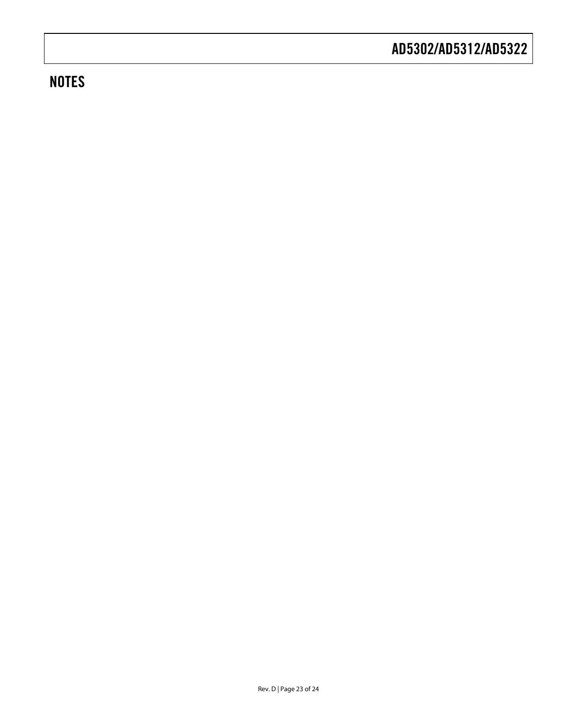## **NOTES**